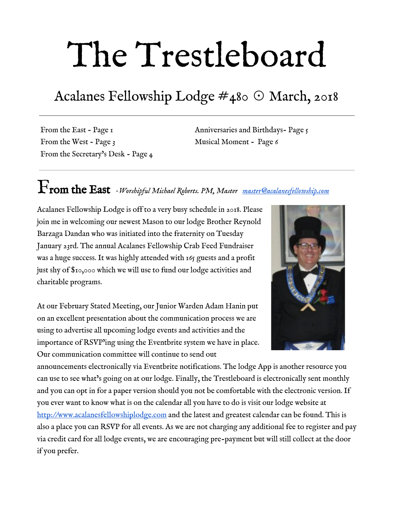# The Trestleboard

## Acalanes Fellowship Lodge #480 ☉ March, 2018

From the East - Page 1 From the West - Page 3 From the Secretary's Desk - Page 4 Anniversaries and Birthdays- Page 5 Musical Moment - Page 6

# From the East *-Worshipful Michael Roberts. PM, Master [master@acalanesfellowship.com](mailto:master@acalanesfellowship.com)*

Acalanes Fellowship Lodge is off to a very busy schedule in 2018. Please join me in welcoming our newest Mason to our lodge Brother Reynold Barzaga Dandan who was initiated into the fraternity on Tuesday January 23rd. The annual Acalanes Fellowship Crab Feed Fundraiser was a huge success. It was highly attended with 165 guests and a profit just shy of \$10,000 which we will use to fund our lodge activities and charitable programs.

At our February Stated Meeting, our Junior Warden Adam Hanin put on an excellent presentation about the communication process we are using to advertise all upcoming lodge events and activities and the importance of RSVP'ing using the Eventbrite system we have in place. Our communication committee will continue to send out



announcements electronically via Eventbrite notifications. The lodge App is another resource you can use to see what's going on at our lodge. Finally, the Trestleboard is electronically sent monthly and you can opt in for a paper version should you not be comfortable with the electronic version. If you ever want to know what is on the calendar all you have to do is visit our lodge website at [http://www.acalanesfellowshiplodge.com](http://www.acalanesfellowshiplodge.com/) and the latest and greatest calendar can be found. This is also a place you can RSVP for all events. As we are not charging any additional fee to register and pay via credit card for all lodge events, we are encouraging pre-payment but will still collect at the door if you prefer.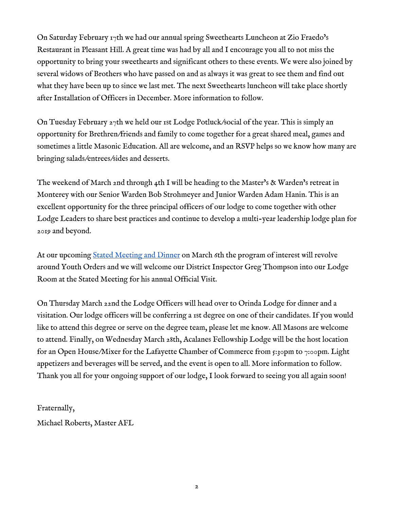On Saturday February 17th we had our annual spring Sweethearts Luncheon at Zio Fraedo's Restaurant in Pleasant Hill. A great time was had by all and I encourage you all to not miss the opportunity to bring your sweethearts and significant others to these events. We were also joined by several widows of Brothers who have passed on and as always it was great to see them and find out what they have been up to since we last met. The next Sweethearts luncheon will take place shortly after Installation of Officers in December. More information to follow.

On Tuesday February 27th we held our 1st Lodge Potluck/social of the year. This is simply an opportunity for Brethren/friends and family to come together for a great shared meal, games and sometimes a little Masonic Education. All are welcome, and an RSVP helps so we know how many are bringing salads/entrees/sides and desserts.

The weekend of March 2nd through 4th I will be heading to the Master's & Warden's retreat in Monterey with our Senior Warden Bob Strohmeyer and Junior Warden Adam Hanin. This is an excellent opportunity for the three principal officers of our lodge to come together with other Lodge Leaders to share best practices and continue to develop a multi-year leadership lodge plan for 2019 and beyond.

At our upcoming [Stated Meeting and Dinner](https://www.eventbrite.com/e/march-2018-stated-meeting-dinner-registration-41095229939?ref=ecal) on March 6th the program of interest will revolve around Youth Orders and we will welcome our District Inspector Greg Thompson into our Lodge Room at the Stated Meeting for his annual Official Visit.

On Thursday March 22nd the Lodge Officers will head over to Orinda Lodge for dinner and a visitation. Our lodge officers will be conferring a 1st degree on one of their candidates. If you would like to attend this degree or serve on the degree team, please let me know. All Masons are welcome to attend. Finally, on Wednesday March 28th, Acalanes Fellowship Lodge will be the host location for an Open House/Mixer for the Lafayette Chamber of Commerce from 5:30pm to 7:00pm. Light appetizers and beverages will be served, and the event is open to all. More information to follow. Thank you all for your ongoing support of our lodge, I look forward to seeing you all again soon!

Fraternally, Michael Roberts, Master AFL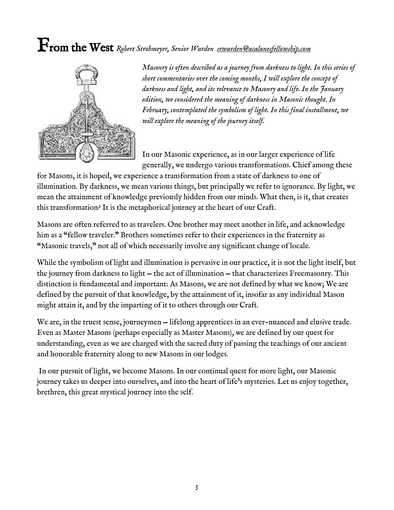# From the West *Robert Strohmeyer, Senior Warden [srwarden@acalanesfellowship.com](mailto:srwarden@acalanesfellowship.com)*



*Masonry is often described as a journey from darkness to light. In this series of short commentaries over the coming months, I will explore the concept of darkness and light, and its relevance to Masonry and life. In the January edition, we considered the meaning of darkness in Masonic thought. In February, contemplated the symbolism of light. In this final installment, we will explore the meaning of the journey itself.*

In our Masonic experience, as in our larger experience of life generally, we undergo various transformations. Chief among these

for Masons, it is hoped, we experience a transformation from a state of darkness to one of illumination. By darkness, we mean various things, but principally we refer to ignorance. By light, we mean the attainment of knowledge previously hidden from our minds. What then, is it, that creates this transformation? It is the metaphorical journey at the heart of our Craft.

Masons are often referred to as travelers. One brother may meet another in life, and acknowledge him as a "fellow traveler." Brothers sometimes refer to their experiences in the fraternity as "Masonic travels," not all of which necessarily involve any significant change of locale.

While the symbolism of light and illumination is pervasive in our practice, it is not the light itself, but the journey from darkness to light — the act of illumination — that characterizes Freemasonry. This distinction is fundamental and important: As Masons, we are not defined by what we know; We are defined by the pursuit of that knowledge, by the attainment of it, insofar as any individual Mason might attain it, and by the imparting of it to others through our Craft.

We are, in the truest sense, journeymen – lifelong apprentices in an ever-nuanced and elusive trade. Even as Master Masons (perhaps especially as Master Masons), we are defined by our quest for understanding, even as we are charged with the sacred duty of passing the teachings of our ancient and honorable fraternity along to new Masons in our lodges.

 In our pursuit of light, we become Masons. In our continual quest for more light, our Masonic journey takes us deeper into ourselves, and into the heart of life's mysteries. Let us enjoy together, brethren, this great mystical journey into the self.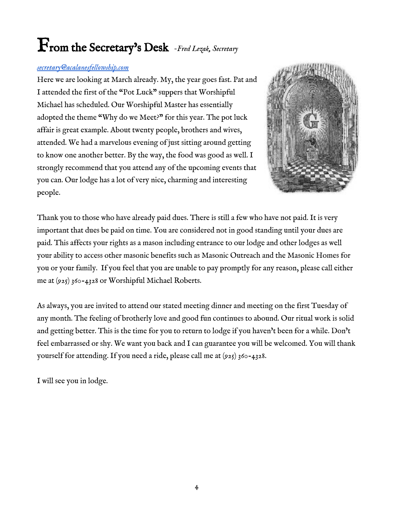# From the Secretary's Desk *-Fred Lezak, Secretary*

#### *[secretary@acalanesfellowship.com](mailto:secretary@acalanesfellowship.com)*

Here we are looking at March already. My, the year goes fast. Pat and I attended the first of the "Pot Luck" suppers that Worshipful Michael has scheduled. Our Worshipful Master has essentially adopted the theme "Why do we Meet?" for this year. The pot luck affair is great example. About twenty people, brothers and wives, attended. We had a marvelous evening of just sitting around getting to know one another better. By the way, the food was good as well. I strongly recommend that you attend any of the upcoming events that you can. Our lodge has a lot of very nice, charming and interesting people.



Thank you to those who have already paid dues. There is still a few who have not paid. It is very important that dues be paid on time. You are considered not in good standing until your dues are paid. This affects your rights as a mason including entrance to our lodge and other lodges as well your ability to access other masonic benefits such as Masonic Outreach and the Masonic Homes for you or your family. If you feel that you are unable to pay promptly for any reason, please call either me at (925) 360-4328 or Worshipful Michael Roberts.

As always, you are invited to attend our stated meeting dinner and meeting on the first Tuesday of any month. The feeling of brotherly love and good fun continues to abound. Our ritual work is solid and getting better. This is the time for you to return to lodge if you haven't been for a while. Don't feel embarrassed or shy. We want you back and I can guarantee you will be welcomed. You will thank yourself for attending. If you need a ride, please call me at (925) 360-4328.

I will see you in lodge.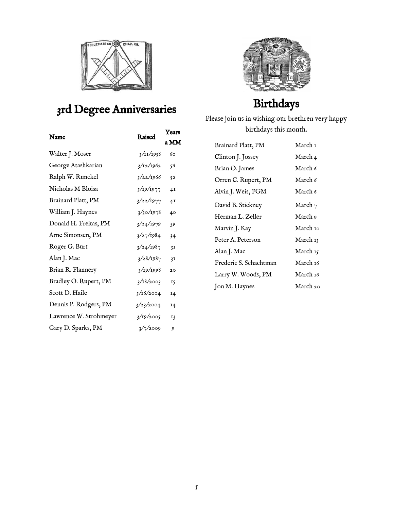

### 3rd Degree Anniversaries

| Name                   | Raised    | Years          |
|------------------------|-----------|----------------|
|                        |           | a MM           |
| Walter J. Moser        | 3/11/1958 | 60             |
| George Atashkarian     | 3/12/1962 | 56             |
| Ralph W. Runckel       | 3/22/1966 | 52             |
| Nicholas M Bloisa      | 3/19/1977 | 4I             |
| Brainard Platt, PM     | 3/22/1977 | 4 <sub>1</sub> |
| William J. Haynes      | 3/30/1978 | 40             |
| Donald H. Freitas, PM  | 3/24/1979 | 39             |
| Arne Simonsen, PM      | 3/27/1984 | 34             |
| Roger G. Burt          | 3/24/1987 | 3I             |
| Alan J. Mac            | 3/28/1987 | 3I             |
| Brian R. Flannery      | 3/19/1998 | 20             |
| Bradley O. Rupert, PM  | 3/18/2003 | 15             |
| Scott D. Haile         | 3/16/2004 | 14             |
| Dennis P. Rodgers, PM  | 3/23/2004 | 14             |
| Lawrence W. Strohmeyer | 3/19/2005 | 13             |
| Gary D. Sparks, PM     | 3/7/2009  | 9              |
|                        |           |                |



### Birthdays

Please join us in wishing our brethren very happy birthdays this month.

| Brainard Platt, PM     | March 1    |
|------------------------|------------|
| Clinton J. Jossey      | March 4    |
| Brian O. James         | March 6    |
| Orren C. Rupert, PM    | March 6    |
| Alvin J. Weis, PGM     | March 6    |
| David B. Stickney      | March $_7$ |
| Herman L. Zeller       | March 9    |
| Marvin J. Kay          | March 10   |
| Peter A. Peterson      | March 13   |
| Alan J. Mac            | March 15   |
| Frederic S. Schachtman | March 16   |
| Larry W. Woods, PM     | March 16   |
| Jon M. Haynes          | March 20   |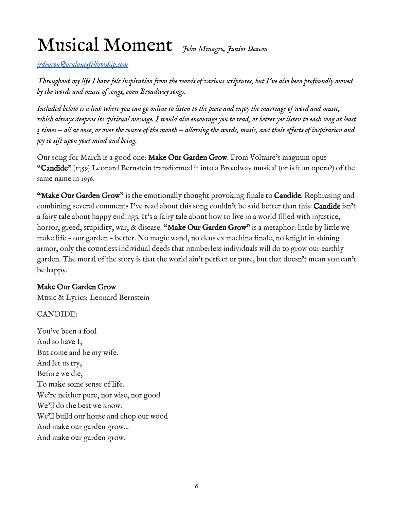# Musical Moment *- John Minagro, Junior Deacon*

*[jrdeacon@acalanesfellowship.com](mailto:jrdeacon@acalanesfellowship.com)*

*Throughout my life I have felt inspiration from the words of various scriptures, but I've also been profoundly moved by the words and music of songs, even Broadway songs.*

*Included below is a link where you can go online to listen to the piece and enjoy the marriage of word and music, which always deepens its spiritual message. I would also encourage you to read, or better yet listen to each song at least 3 times — all at once, or over the course of the month — allowing the words, music, and their effects of inspiration and joy to sift upon your mind and being.*

Our song for March is a good one: Make Our Garden Grow. From Voltaire's magnum opus "Candide"  $(r_{759})$  Leonard Bernstein transformed it into a Broadway musical (or is it an opera?) of the same name in 1956.

"Make Our Garden Grow" is the emotionally thought provoking finale to Candide. Rephrasing and combining several comments I've read about this song couldn't be said better than this: Candide isn't a fairy tale about happy endings. It's a fairy tale about how to live in a world filled with injustice, horror, greed, stupidity, war, & disease. "Make Our Garden Grow" is a metaphor: little by little we make life - our garden - better. No magic wand, no deus ex machina finale, no knight in shining armor, only the countless individual deeds that numberless individuals will do to grow our earthly garden. The moral of the story is that the world ain't perfect or pure, but that doesn't mean you can't be happy.

#### Make Our Garden Grow

Music & Lyrics: Leonard Bernstein

CANDIDE:

You've been a fool And so have I, But come and be my wife. And let us try, Before we die, To make some sense of life. We're neither pure, nor wise, nor good We'll do the best we know. We'll build our house and chop our wood And make our garden grow… And make our garden grow.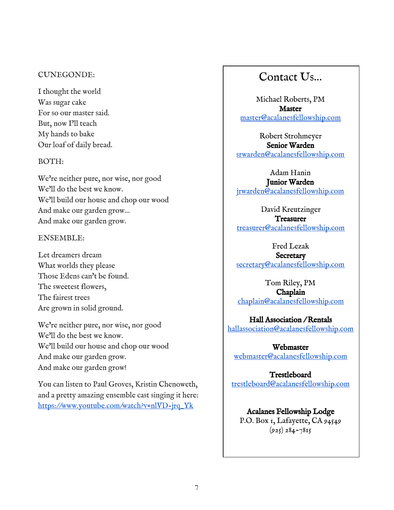#### CUNEGONDE:

I thought the world Was sugar cake For so our master said. But, now I'll teach My hands to bake Our loaf of daily bread.

#### BOTH:

We're neither pure, nor wise, nor good We'll do the best we know. We'll build our house and chop our wood And make our garden grow… And make our garden grow.

#### ENSEMBLE:

Let dreamers dream What worlds they please Those Edens can't be found. The sweetest flowers, The fairest trees Are grown in solid ground.

We're neither pure, nor wise, nor good We'll do the best we know. We'll build our house and chop our wood And make our garden grow. And make our garden grow!

You can listen to Paul Groves, Kristin Chenoweth, and a pretty amazing ensemble cast singing it here: [https://www.youtube.com/watch?v=nlVD-jrq\\_Yk](https://www.youtube.com/watch?v=nlVD-jrq_Yk)

### Contact Us…

Michael Roberts, PM Master [master@acalanesfellowship.com](mailto:master@acalanesfellowship.com)

Robert Strohmeyer Senior Warden [srwarden@acalanesfellowship.com](mailto:srwarden@acalanesfellowship.com)

Adam Hanin Junior Warden [jrwarden@acalanesfellowship.com](mailto:jrwarden@acalanesfellowship.com)

David Kreutzinger **Treasurer** [treasurer@acalanesfellowship.com](mailto:treasurer@acalanesfellowship.com)

Fred Lezak

**Secretary** [secretary@acalanesfellowship.com](mailto:secretary@acalanesfellowship.com)

Tom Riley, PM Chaplain [chaplain@acalanesfellowship.com](mailto:chaplain@acalanesfellowship.com)

Hall Association / Rentals [hallassociation@acalanesfellowship.com](mailto:hallassociation@acalanesfellowship.com)

Webmaster [webmaster@acalanesfellowship.com](mailto:webmaster@acalanesfellowship.com)

Trestleboard [trestleboard@acalanesfellowship.com](mailto:trestleboard@acalanesfellowship.com)

Acalanes Fellowship Lodge P.O. Box 1, Lafayette, CA 94549  $(925) 284 - 7815$